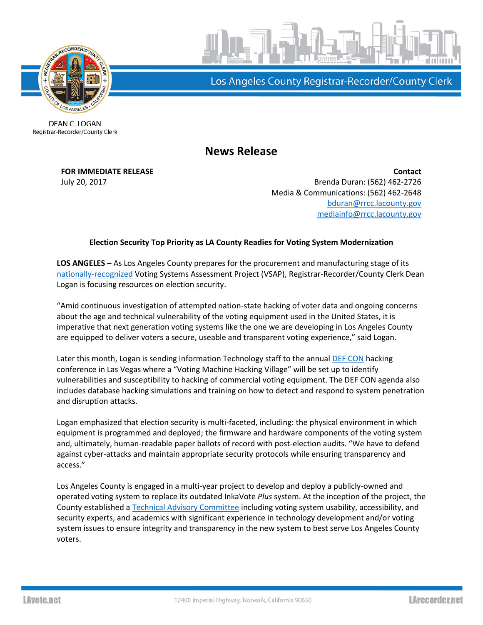

Los Angeles County Registrar-Recorder/County Clerk

**DEAN C. LOGAN** Registrar-Recorder/County Clerk

## **News Release**

**FOR IMMEDIATE RELEASE Contact** July 20, 2017 Brenda Duran: (562) 462-2726 Media & Communications: (562) 462-2648 [bduran@rrcc.lacounty.gov](mailto:bduran@rrcc.lacounty.gov) [mediainfo@rrcc.lacounty.gov](mailto:mediainfo@rrcc.lacounty.gov)

## **Election Security Top Priority as LA County Readies for Voting System Modernization**

**LOS ANGELES** – As Los Angeles County prepares for the procurement and manufacturing stage of its [nationally-recognized](https://ash.harvard.edu/RoyLilaTopTen2017) Voting Systems Assessment Project (VSAP), Registrar-Recorder/County Clerk Dean Logan is focusing resources on election security.

"Amid continuous investigation of attempted nation-state hacking of voter data and ongoing concerns about the age and technical vulnerability of the voting equipment used in the United States, it is imperative that next generation voting systems like the one we are developing in Los Angeles County are equipped to deliver voters a secure, useable and transparent voting experience," said Logan.

Later this month, Logan is sending Information Technology staff to the annual [DEF CON](https://www.defcon.org/html/defcon-25/dc-25-index.html) hacking conference in Las Vegas where a "Voting Machine Hacking Village" will be set up to identify vulnerabilities and susceptibility to hacking of commercial voting equipment. The DEF CON agenda also includes database hacking simulations and training on how to detect and respond to system penetration and disruption attacks.

Logan emphasized that election security is multi-faceted, including: the physical environment in which equipment is programmed and deployed; the firmware and hardware components of the voting system and, ultimately, human-readable paper ballots of record with post-election audits. "We have to defend against cyber-attacks and maintain appropriate security protocols while ensuring transparency and access."

Los Angeles County is engaged in a multi-year project to develop and deploy a publicly-owned and operated voting system to replace its outdated InkaVote *Plus* system. At the inception of the project, the County established [a Technical Advisory Committee](http://vsap.lavote.net/committees/#technicalteam) including voting system usability, accessibility, and security experts, and academics with significant experience in technology development and/or voting system issues to ensure integrity and transparency in the new system to best serve Los Angeles County voters.